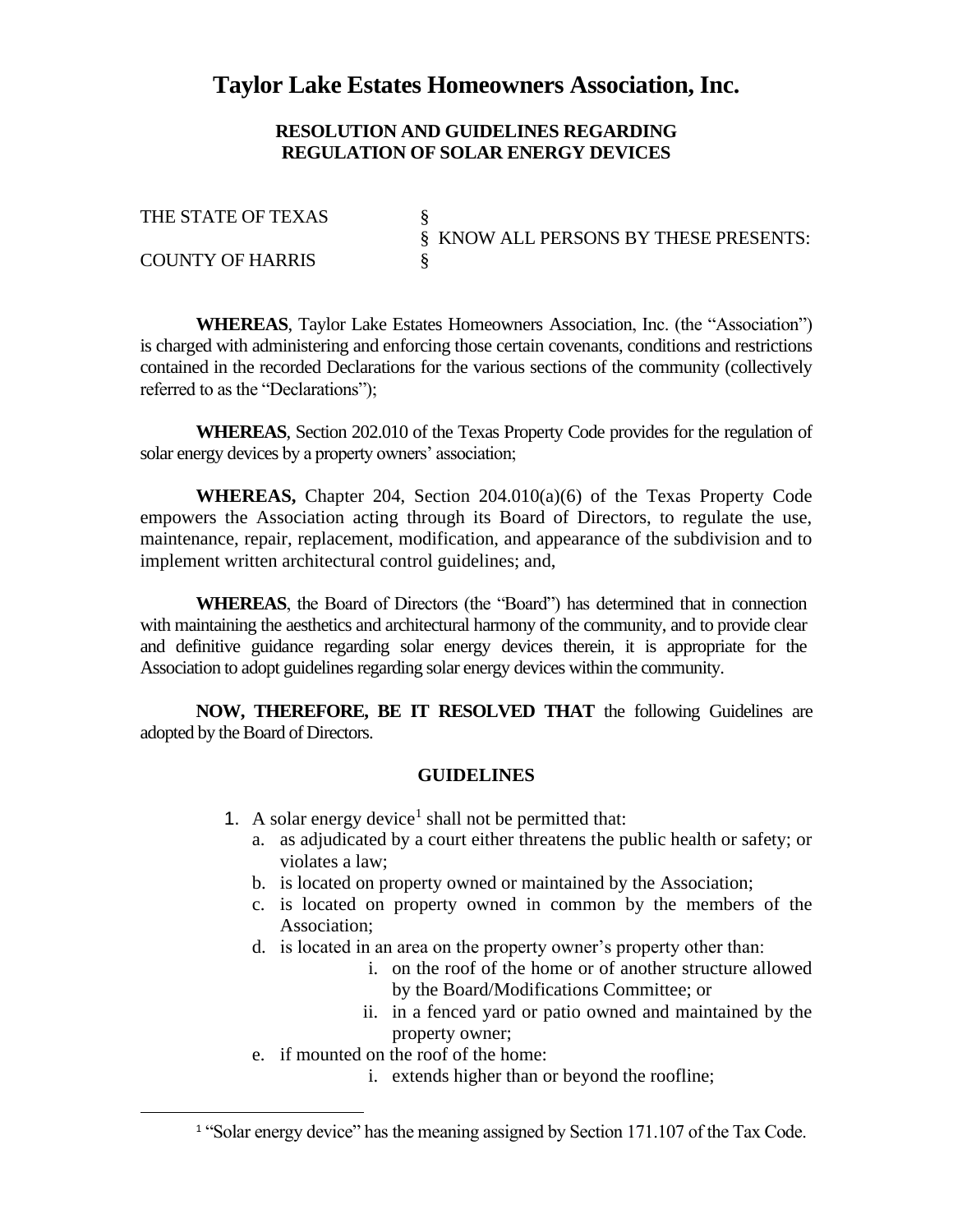## **Taylor Lake Estates Homeowners Association, Inc.**

## **RESOLUTION AND GUIDELINES REGARDING REGULATION OF SOLAR ENERGY DEVICES**

THE STATE OF TEXAS § KNOW ALL PERSONS BY THESE PRESENTS: COUNTY OF HARRIS

**WHEREAS**, Taylor Lake Estates Homeowners Association, Inc. (the "Association") is charged with administering and enforcing those certain covenants, conditions and restrictions contained in the recorded Declarations for the various sections of the community (collectively referred to as the "Declarations");

**WHEREAS**, Section 202.010 of the Texas Property Code provides for the regulation of solar energy devices by a property owners' association;

**WHEREAS,** Chapter 204, Section 204.010(a)(6) of the Texas Property Code empowers the Association acting through its Board of Directors, to regulate the use, maintenance, repair, replacement, modification, and appearance of the subdivision and to implement written architectural control guidelines; and,

**WHEREAS**, the Board of Directors (the "Board") has determined that in connection with maintaining the aesthetics and architectural harmony of the community, and to provide clear and definitive guidance regarding solar energy devices therein, it is appropriate for the Association to adopt guidelines regarding solar energy devices within the community.

**NOW, THEREFORE, BE IT RESOLVED THAT** the following Guidelines are adopted by the Board of Directors.

## **GUIDELINES**

- 1. A solar energy device<sup>1</sup> shall not be permitted that:
	- a. as adjudicated by a court either threatens the public health or safety; or violates a law;
	- b. is located on property owned or maintained by the Association;
	- c. is located on property owned in common by the members of the Association;
	- d. is located in an area on the property owner's property other than:
		- i. on the roof of the home or of another structure allowed by the Board/Modifications Committee; or
		- ii. in a fenced yard or patio owned and maintained by the property owner;
	- e. if mounted on the roof of the home:
		- i. extends higher than or beyond the roofline;

<sup>&</sup>lt;sup>1</sup> "Solar energy device" has the meaning assigned by Section 171.107 of the Tax Code.